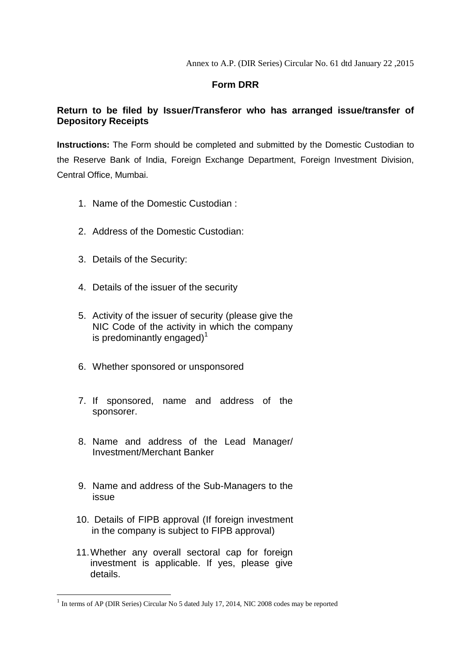Annex to A.P. (DIR Series) Circular No. 61 dtd January 22 ,2015

## **Form DRR**

## **Return to be filed by Issuer/Transferor who has arranged issue/transfer of Depository Receipts**

**Instructions:** The Form should be completed and submitted by the Domestic Custodian to the Reserve Bank of India, Foreign Exchange Department, Foreign Investment Division, Central Office, Mumbai.

- 1. Name of the Domestic Custodian :
- 2. Address of the Domestic Custodian:
- 3. Details of the Security:
- 4. Details of the issuer of the security
- 5. Activity of the issuer of security (please give the NIC Code of the activity in which the company is predominantly engaged)<sup>1</sup>
- 6. Whether sponsored or unsponsored
- 7. If sponsored, name and address of the sponsorer.
- 8. Name and address of the Lead Manager/ Investment/Merchant Banker
- 9. Name and address of the Sub-Managers to the issue
- 10. Details of FIPB approval (If foreign investment in the company is subject to FIPB approval)
- 11.Whether any overall sectoral cap for foreign investment is applicable. If yes, please give details.

**.** 

<sup>&</sup>lt;sup>1</sup> In terms of AP (DIR Series) Circular No 5 dated July 17, 2014, NIC 2008 codes may be reported